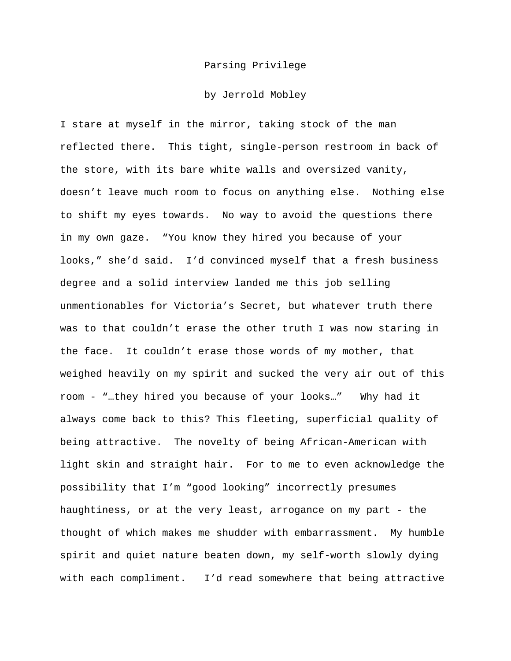## Parsing Privilege

## by Jerrold Mobley

I stare at myself in the mirror, taking stock of the man reflected there. This tight, single-person restroom in back of the store, with its bare white walls and oversized vanity, doesn't leave much room to focus on anything else. Nothing else to shift my eyes towards. No way to avoid the questions there in my own gaze. "You know they hired you because of your looks," she'd said. I'd convinced myself that a fresh business degree and a solid interview landed me this job selling unmentionables for Victoria's Secret, but whatever truth there was to that couldn't erase the other truth I was now staring in the face. It couldn't erase those words of my mother, that weighed heavily on my spirit and sucked the very air out of this room - "…they hired you because of your looks…" Why had it always come back to this? This fleeting, superficial quality of being attractive. The novelty of being African-American with light skin and straight hair. For to me to even acknowledge the possibility that I'm "good looking" incorrectly presumes haughtiness, or at the very least, arrogance on my part - the thought of which makes me shudder with embarrassment. My humble spirit and quiet nature beaten down, my self-worth slowly dying with each compliment. I'd read somewhere that being attractive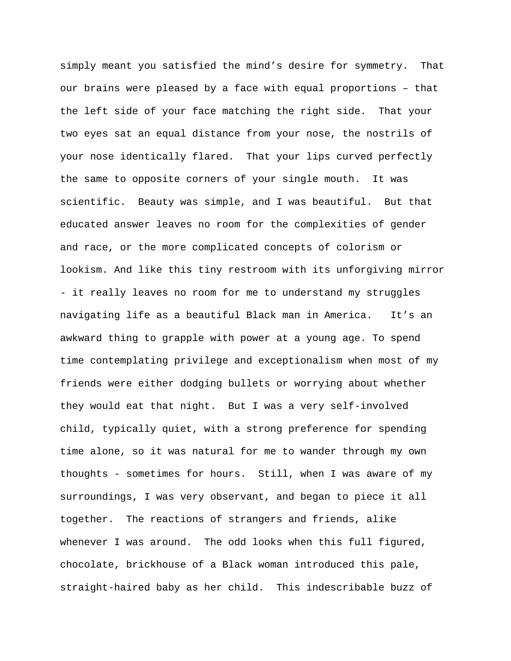simply meant you satisfied the mind's desire for symmetry. That our brains were pleased by a face with equal proportions – that the left side of your face matching the right side. That your two eyes sat an equal distance from your nose, the nostrils of your nose identically flared. That your lips curved perfectly the same to opposite corners of your single mouth. It was scientific. Beauty was simple, and I was beautiful. But that educated answer leaves no room for the complexities of gender and race, or the more complicated concepts of colorism or lookism. And like this tiny restroom with its unforgiving mirror - it really leaves no room for me to understand my struggles navigating life as a beautiful Black man in America. It's an awkward thing to grapple with power at a young age. To spend time contemplating privilege and exceptionalism when most of my friends were either dodging bullets or worrying about whether they would eat that night. But I was a very self-involved child, typically quiet, with a strong preference for spending time alone, so it was natural for me to wander through my own thoughts - sometimes for hours. Still, when I was aware of my surroundings, I was very observant, and began to piece it all together. The reactions of strangers and friends, alike whenever I was around. The odd looks when this full figured, chocolate, brickhouse of a Black woman introduced this pale, straight-haired baby as her child. This indescribable buzz of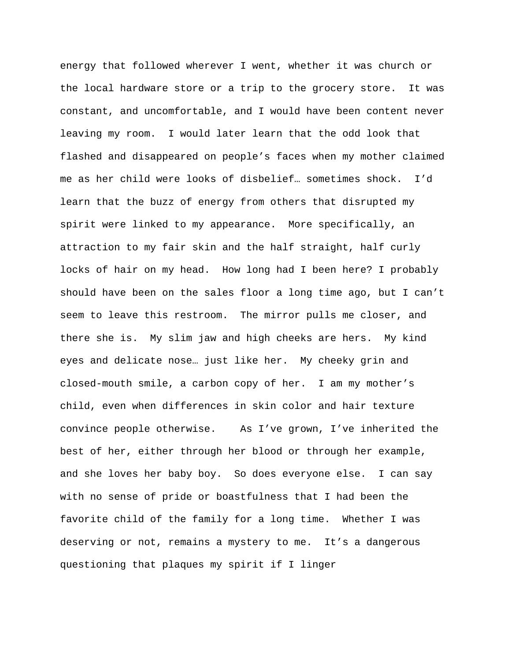energy that followed wherever I went, whether it was church or the local hardware store or a trip to the grocery store. It was constant, and uncomfortable, and I would have been content never leaving my room. I would later learn that the odd look that flashed and disappeared on people's faces when my mother claimed me as her child were looks of disbelief… sometimes shock. I'd learn that the buzz of energy from others that disrupted my spirit were linked to my appearance. More specifically, an attraction to my fair skin and the half straight, half curly locks of hair on my head. How long had I been here? I probably should have been on the sales floor a long time ago, but I can't seem to leave this restroom. The mirror pulls me closer, and there she is. My slim jaw and high cheeks are hers. My kind eyes and delicate nose… just like her. My cheeky grin and closed-mouth smile, a carbon copy of her. I am my mother's child, even when differences in skin color and hair texture convince people otherwise. As I've grown, I've inherited the best of her, either through her blood or through her example, and she loves her baby boy. So does everyone else. I can say with no sense of pride or boastfulness that I had been the favorite child of the family for a long time. Whether I was deserving or not, remains a mystery to me. It's a dangerous questioning that plaques my spirit if I linger